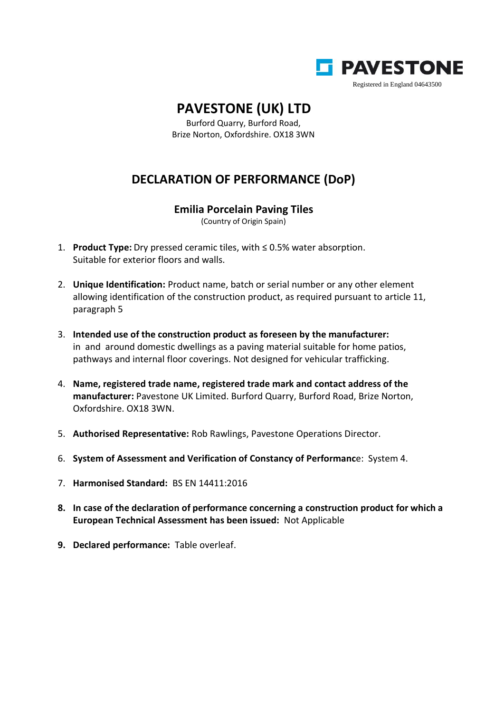

## **PAVESTONE (UK) LTD**

Burford Quarry, Burford Road, Brize Norton, Oxfordshire. OX18 3WN

## **DECLARATION OF PERFORMANCE (DoP)**

## **Emilia Porcelain Paving Tiles**

(Country of Origin Spain)

- 1. **Product Type:** Dry pressed ceramic tiles, with ≤ 0.5% water absorption. Suitable for exterior floors and walls.
- 2. **Unique Identification:** Product name, batch or serial number or any other element allowing identification of the construction product, as required pursuant to article 11, paragraph 5
- 3. **Intended use of the construction product as foreseen by the manufacturer:** in and around domestic dwellings as a paving material suitable for home patios, pathways and internal floor coverings. Not designed for vehicular trafficking.
- 4. **Name, registered trade name, registered trade mark and contact address of the manufacturer:** Pavestone UK Limited. Burford Quarry, Burford Road, Brize Norton, Oxfordshire. OX18 3WN.
- 5. **Authorised Representative:** Rob Rawlings, Pavestone Operations Director.
- 6. **System of Assessment and Verification of Constancy of Performanc**e: System 4.
- 7. **Harmonised Standard:** BS EN 14411:2016
- **8. In case of the declaration of performance concerning a construction product for which a European Technical Assessment has been issued:** Not Applicable
- **9. Declared performance:** Table overleaf.